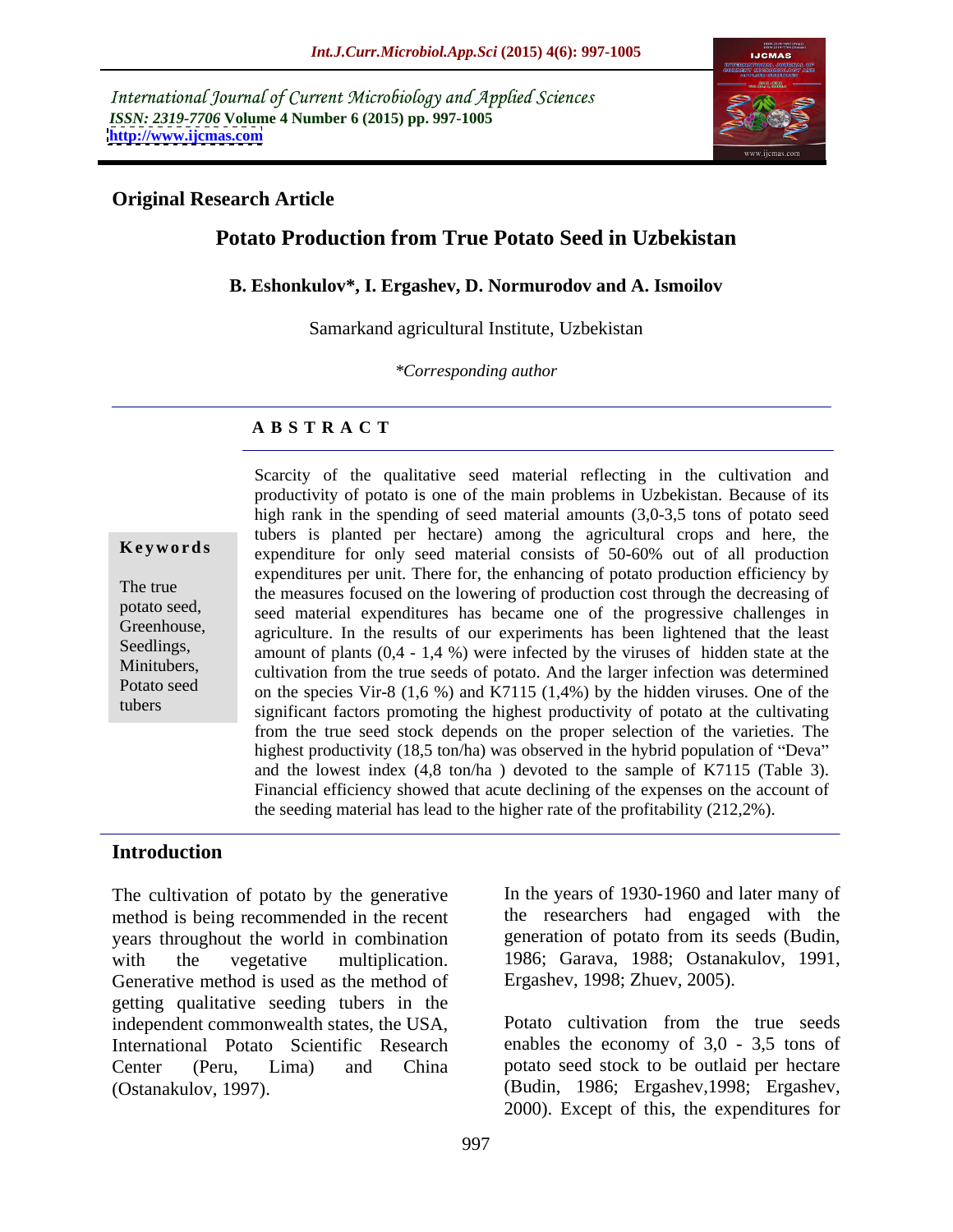International Journal of Current Microbiology and Applied Sciences *ISSN: 2319-7706* **Volume 4 Number 6 (2015) pp. 997-1005 <http://www.ijcmas.com>**



#### **Original Research Article**

# **Potato Production from True Potato Seed in Uzbekistan**

#### **B. Eshonkulov\*, I. Ergashev, D. Normurodov and A. Ismoilov**

Samarkand agricultural Institute, Uzbekistan

*\*Corresponding author*

## **A B S T R A C T**

tubers

Scarcity of the qualitative seed material reflecting in the cultivation and productivity of potato is one of the main problems in Uzbekistan. Because of its high rank in the spending of seed material amounts (3,0-3,5 tons of potato seed tubers is planted per hectare) among the agricultural crops and here, the expenditure for only seed material consists of 50-60% out of all production **Ke ywo rds** expenditures per unit. There for, the enhancing of potato production efficiency by The true the measures focused on the lowering of production cost through the decreasing of seed material expenditures has became one of the progressive challenges in potato seed, Greenhouse, agriculture. In the results of our experiments has been lightened that the least Seedlings, amount of plants  $(0,4 - 1,4, 9)$  were infected by the viruses of hidden state at the Minitubers,<br>
cultivation from the true seeds of potato. And the larger infection was determined Potato seed<br>on the species Vir-8 (1,6 %) and K7115 (1,4%) by the hidden viruses. One of the significant factors promoting the highest productivity of potato at the cultivating from the true seed stock depends on the proper selection of the varieties. The highest productivity (18,5 ton/ha) was observed in the hybrid population of "Deva" and the lowest index (4,8 ton/ha ) devoted to the sample of K7115 (Table 3). Financial efficiency showed that acute declining of the expenses on the account of the seeding material has lead to the higher rate of the profitability (212,2%).

## **Introduction**

method is being recommended in the recent years throughout the world in combination Generative method is used as the method of getting qualitative seeding tubers in the independent commonwealth states, the USA, Potato cultivation from the true seeds International Potato Scientific Research enables the economy of 3,0 - 3,5 tons of Center (Peru, Lima) and China potato seed stock to be outlaid per hectare The cultivation of potato by the generative<br>
In the years of 1930-1960 and later many of<br>
method is being recommended in the recent<br>
the researchers had engaged with the<br>
years throughout the world in combination<br>
with the

The cultivation of potato by the generative In the years of 1930-1960 and later many of with the vegetative multiplication. 1986; Garava, 1988; Ostanakulov, 1991, the researchers had engaged with the generation of potato from its seeds (Budin, Ergashev, 1998; Zhuev, 2005).

> Potato cultivation from the true seeds (Budin, 1986; Ergashev,1998; Ergashev, 2000). Except of this, the expenditures for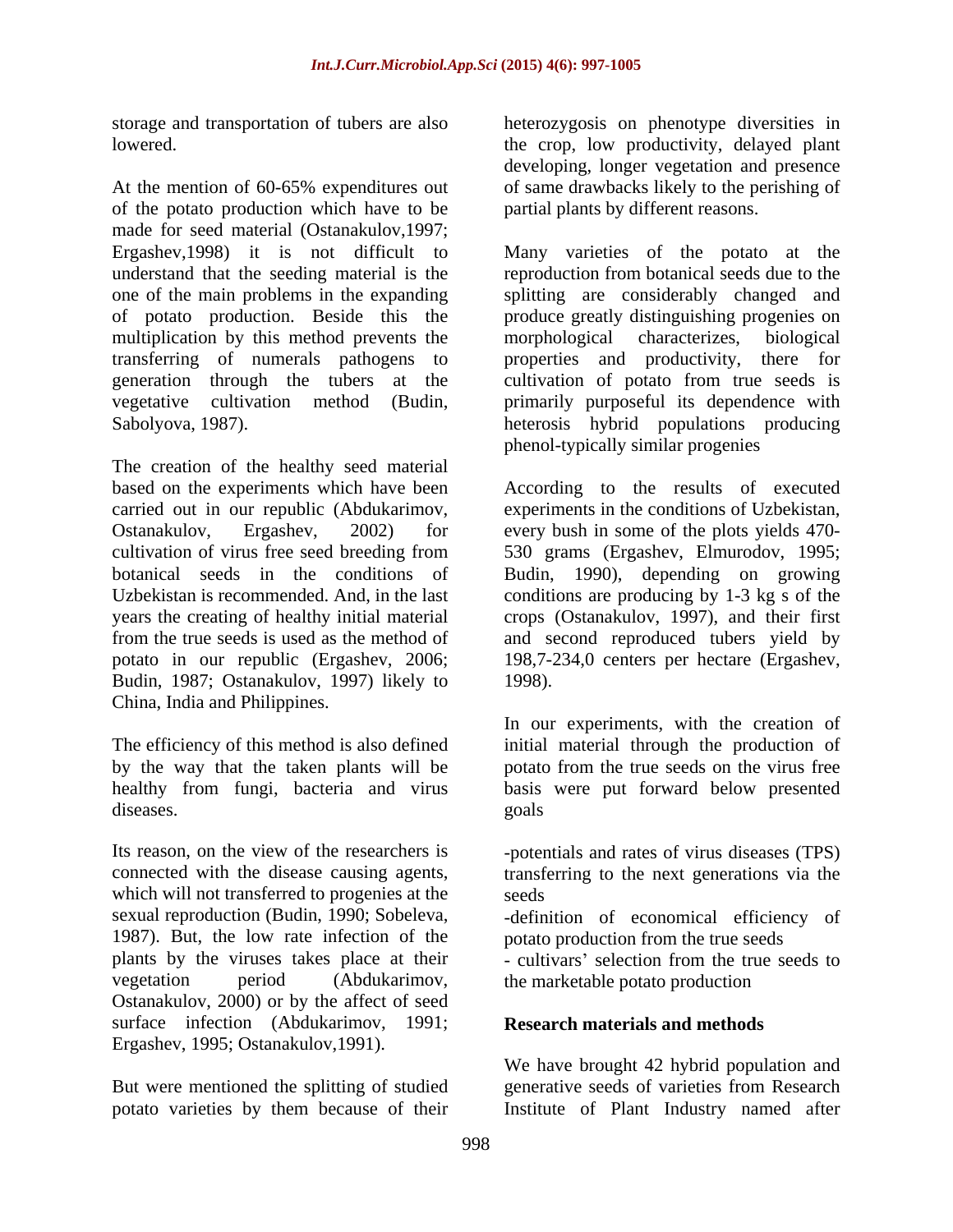At the mention of 60-65% expenditures out of the potato production which have to be made for seed material (Ostanakulov,1997; Ergashev,1998) it is not difficult to Many varieties of the potato at the understand that the seeding material is the one of the main problems in the expanding splitting are considerably changed and of potato production. Beside this the produce greatly distinguishing progenies on multiplication by this method prevents the morphological characterizes, biological transferring of numerals pathogens to generation through the tubers at the cultivation of potato from true seeds is vegetative cultivation method (Budin, primarily purposeful its dependence with Sabolyova, 1987). heterosis hybrid populations producing

The creation of the healthy seed material based on the experiments which have been carried out in our republic (Abdukarimov, experiments in the conditions of Uzbekistan, Ostanakulov, Ergashev, 2002) for every bush in some of the plots yields 470 cultivation of virus free seed breeding from 530 grams (Ergashev, Elmurodov, 1995; botanical seeds in the conditions of Budin, 1990), depending on growing Uzbekistan is recommended. And, in the last conditions are producing by 1-3 kg s of the years the creating of healthy initial material crops (Ostanakulov, 1997), and their first from the true seeds is used as the method of and second reproduced tubers yield by potato in our republic (Ergashev, 2006; 198,7-234,0 centers per hectare (Ergashev, Budin, 1987; Ostanakulov, 1997) likely to China, India and Philippines.

by the way that the taken plants will be healthy from fungi, bacteria and virus

Its reason, on the view of the researchers is -potentials and rates of virus diseases (TPS) connected with the disease causing agents, transferring to the next generations via the which will not transferred to progenies at the seeds sexual reproduction (Budin, 1990; Sobeleva, a calideralition of economical efficiency of 1987). But, the low rate infection of the plants by the viruses takes place at their vegetation period (Abdukarimov, the marketable potato production Ostanakulov, 2000) or by the affect of seed surface infection (Abdukarimov, 1991; Ergashev, 1995; Ostanakulov,1991).

potato varieties by them because of their Institute of Plant Industry named after

storage and transportation of tubers are also heterozygosis on phenotype diversities in lowered. the crop, low productivity, delayed plant developing, longer vegetation and presence of same drawbacks likely to the perishing of partial plants by different reasons.

> reproduction from botanical seeds due to the morphological characterizes, biological properties and productivity, phenol-typically similar progenies

According to the results of executed 1998).

The efficiency of this method is also defined initial material through the production of healthy from fungi, bacteria and virus basis were put forward below presented diseases. The goals goals goals goals goals are seen as a series of the series of the series of the series of the series of the series of the series of the series of the series of the series of the series of the series of In our experiments, with the creation of potato from the true seeds on the virus free goals

seeds **seeds** 

potato production from the true seeds

- cultivars' selection from the true seeds to

## **Research materials and methods**

But were mentioned the splitting of studied generative seeds of varieties from Research We have brought 42 hybrid population and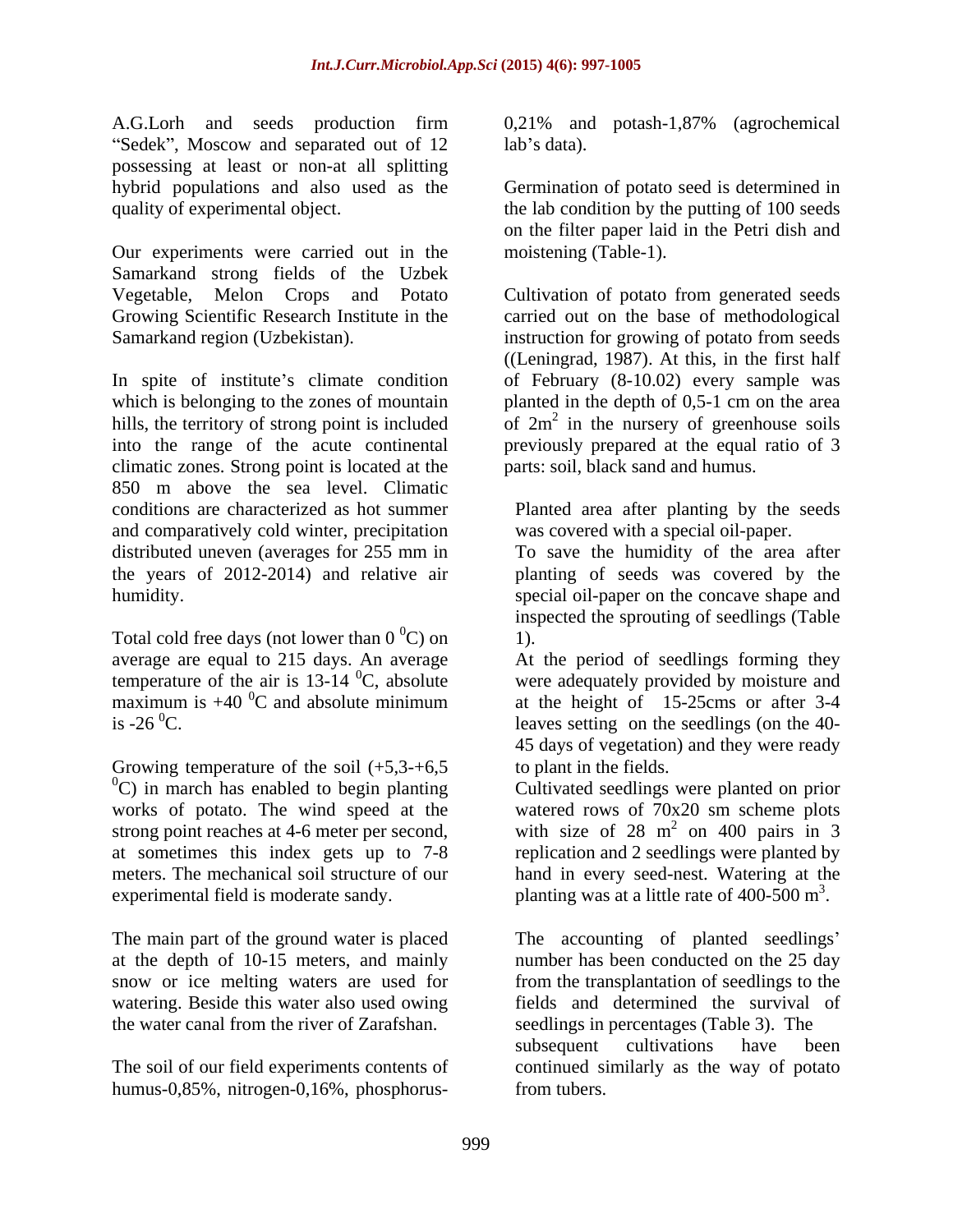A.G.Lorh and seeds production firm 0,21% and potash-1,87% (agrochemical "Sedek", Moscow and separated out of 12 lab's data). possessing at least or non-at all splitting hybrid populations and also used as the Germination of potato seed is determined in quality of experimental object. the lab condition by the putting of 100 seeds

Our experiments were carried out in the Samarkand strong fields of the Uzbek

In spite of institute's climate condition of February (8-10.02) every sample was which is belonging to the zones of mountain planted in the depth of 0,5-1 cm on the area hills, the territory of strong point is included into the range of the acute continental previously prepared at the equal ratio of 3 climatic zones. Strong point is located at the 850 m above the sea level. Climatic conditions are characterized as hot summer Planted area after planting by the seeds and comparatively cold winter, precipitation distributed uneven (averages for 255 mm in the years of 2012-2014) and relative air planting of seeds was covered by the humidity. special oil-paper on the concave shape and

Total cold free days (not lower than  $0^{\circ}$ C) on 1). average are equal to 215 days. An average temperature of the air is  $13-14$  <sup>0</sup>C, absolute maximum is  $+40\,^0$ C and absolute minimum is  $-26\,^{\circ}\text{C}$ . leaves setting on the seedlings (on the 40-

Growing temperature of the soil  $(+5,3,3,46)$  $^{0}$ C) in march has enabled to begin planting works of potato. The wind speed at the strong point reaches at 4-6 meter per second, at sometimes this index gets up to 7-8 meters. The mechanical soil structure of our experimental field is moderate sandy.  $\mu$  planting was at a little rate of 400-500 m<sup>3</sup>.

The main part of the ground water is placed at the depth of 10-15 meters, and mainly snow or ice melting waters are used for watering. Beside this water also used owing fields and determined the survival of

The soil of our field experiments contents of continued similarly as the way of potato humus-0,85%, nitrogen-0,16%, phosphorus-

 $\lambda$  and  $\lambda$  and  $\lambda$  and  $\lambda$  and  $\lambda$  and  $\lambda$  and  $\lambda$  and  $\lambda$  and  $\lambda$  and  $\lambda$  and  $\lambda$  and  $\lambda$  and  $\lambda$  and  $\lambda$  and  $\lambda$  and  $\lambda$  and  $\lambda$  and  $\lambda$  and  $\lambda$  and  $\lambda$  and  $\lambda$  and  $\lambda$  and  $\lambda$  and  $\lambda$  and  $\lambda$ 

on the filter paper laid in the Petri dish and moistening (Table-1).

Vegetable, Melon Crops and Potato Cultivation of potato from generated seeds Growing Scientific Research Institute in the carried out on the base of methodological Samarkand region (Uzbekistan). instruction for growing of potato from seeds ((Leningrad, 1987). At this, in the first half of  $2m^2$  in the nursery of greenhouse soils parts: soil, black sand and humus.

was covered with a special oil-paper.

To save the humidity of the area after inspected the sprouting of seedlings (Table 1).

 ${}^{0}$ C and absolute minimum at the height of 15-25cms or after 3-4 At the period of seedlings forming they were adequately provided by moisture and at the height of  $15-25 \, \text{cms}$  or after 3-4 45 days of vegetation) and they were ready to plant in the fields.

Cultivated seedlings were planted on prior watered rows of 70x20 sm scheme plots with size of  $28 \text{ m}^2$  on  $400 \text{ pairs in } 3$ on 400 pairs in 3 replication and 2 seedlings were planted by hand in every seed-nest. Watering at the .

the water canal from the river of Zarafshan. seedlings in percentages (Table 3). The The accounting of planted seedlings' number has been conducted on the 25 day from the transplantation of seedlings to the subsequent cultivations have been from tubers.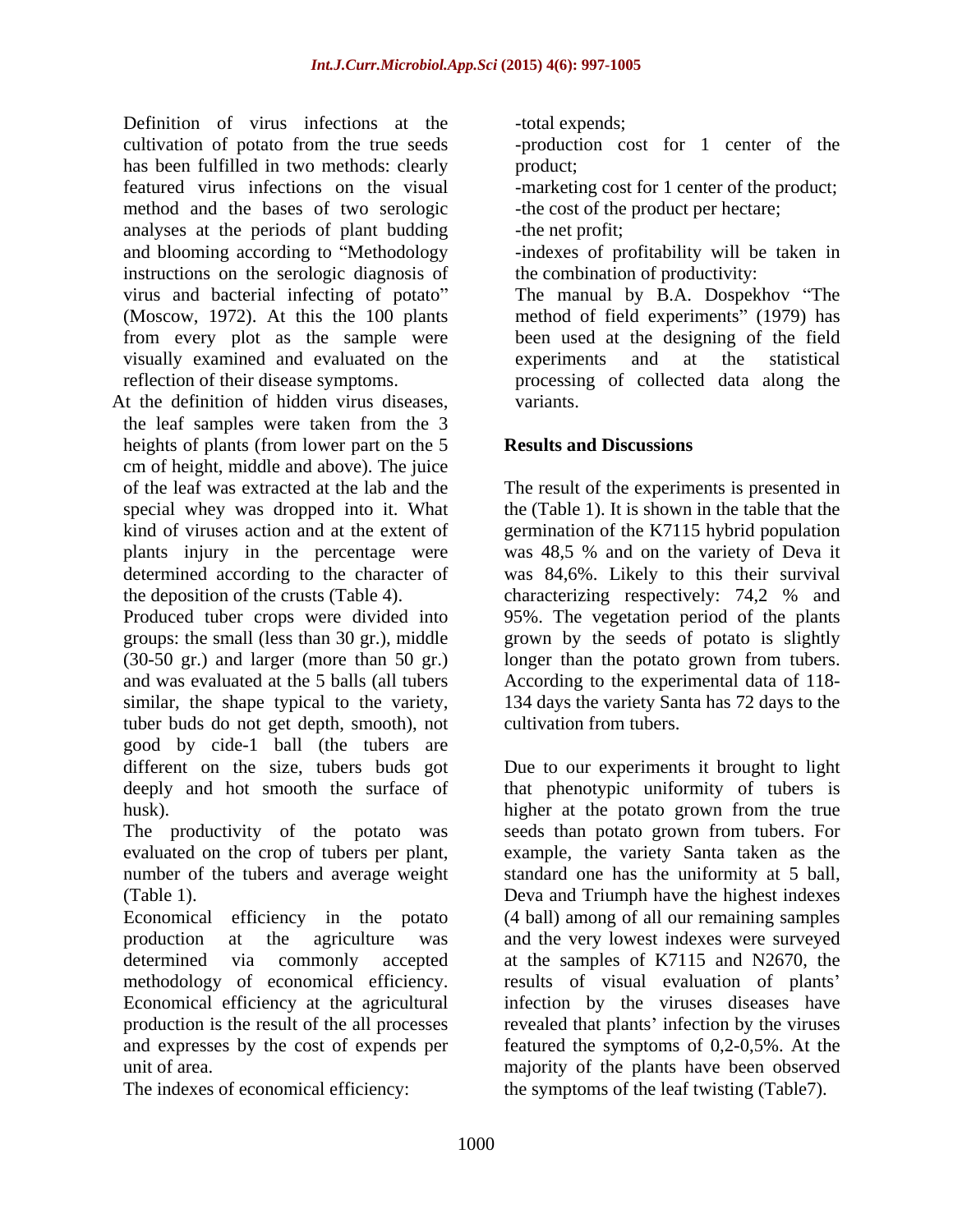Definition of virus infections at the -total expends; cultivation of potato from the true seeds -production cost for 1 center of the has been fulfilled in two methods: clearly product; featured virus infections on the visual -marketing cost for 1 center of the product; method and the bases of two serologic analyses at the periods of plant budding and blooming according to "Methodology and sindexes of profitability will be taken in instructions on the serologic diagnosis of visually examined and evaluated on the

At the definition of hidden virus diseases, variants, the leaf samples were taken from the 3 heights of plants (from lower part on the 5 cm of height, middle and above). The juice

tuber buds do not get depth, smooth), not good by cide-1 ball (the tubers are

number of the tubers and average weight

methodology of economical efficiency. and expresses by the cost of expends per

-total expends;

product; expression of the set of the set of the set of the set of the set of the set of the set of the set of the set of the set of the set of the set of the set of the set of the set of the set of the set of the set of t

-the cost of the product per hectare;

-the net profit;

the combination of productivity:

virus and bacterial infecting of potato" The manual by B.A. Dospekhov "The (Moscow, 1972). At this the 100 plants method of field experiments" (1979) has from every plot as the sample were been used at the designing of the field reflection of their disease symptoms. processing of collected data along the experiments and at the statistical variants.

## **Results and Discussions**

of the leaf was extracted at the lab and the The result of the experiments is presented in special whey was dropped into it. What the (Table 1). It is shown in the table that the kind of viruses action and at the extent of germination of the K7115 hybrid population plants injury in the percentage were was 48,5 % and on the variety of Deva it determined according to the character of was 84,6%. Likely to this their survival the deposition of the crusts (Table 4). characterizing respectively: 74,2 % and Produced tuber crops were divided into 95%. The vegetation period of the plants groups: the small (less than 30 gr.), middle grown by the seeds of potato is slightly (30-50 gr.) and larger (more than 50 gr.) longer than the potato grown from tubers. and was evaluated at the 5 balls (all tubers According to the experimental data of 118 similar, the shape typical to the variety, 134 days the variety Santa has 72 days to the cultivation from tubers.

different on the size, tubers buds got Due to our experiments it brought to light deeply and hot smooth the surface of that phenotypic uniformity of tubers is husk). higher at the potato grown from the true The productivity of the potato was seeds than potato grown from tubers. For evaluated on the crop of tubers per plant, example, the variety Santa taken as the (Table 1). Deva and Triumph have the highest indexes Economical efficiency in the potato (4 ball) among of all our remaining samples production at the agriculture was and the very lowest indexes were surveyed determined via commonly accepted at the samples of K7115 and N2670, the Economical efficiency at the agricultural infection by the viruses diseases have production is the result of the all processes revealed that plants' infection by the viruses unit of area. majority of the plants have been observed The indexes of economical efficiency: the symptoms of the leaf twisting (Table7).standard one has the uniformity at 5 ball, results of visual evaluation of plants featured the symptoms of 0,2-0,5%. At the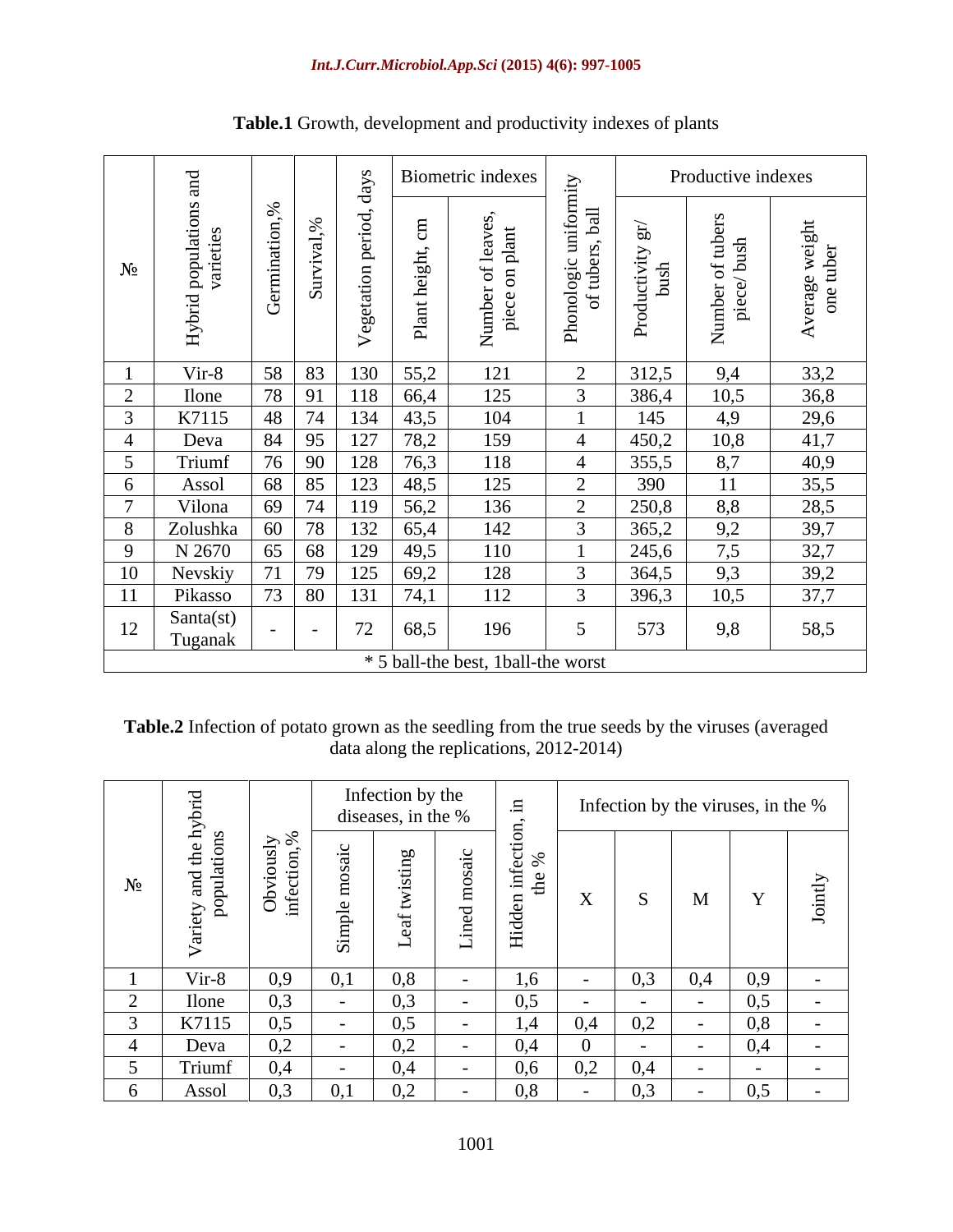|                | ರ                                                       |                          |                               |                                     | Biometric indexes                                                                | $\geq$                                    |                       | Productive indexes                                                |                               |
|----------------|---------------------------------------------------------|--------------------------|-------------------------------|-------------------------------------|----------------------------------------------------------------------------------|-------------------------------------------|-----------------------|-------------------------------------------------------------------|-------------------------------|
| $N_2$          | ulatio<br>pop<br>vari<br>$\overline{\phantom{0}}$<br>Нy |                          | $\overline{\phantom{0}}$<br>S | ോ                                   | $\overline{\phantom{0}}$<br>$\frac{3}{2}$<br>$\overline{\mathrm{m}}$<br>$\Omega$ | ∃ ⊟<br>ੱਥੇ - ਕ<br>ologic<br>of tuber<br>ட | an<br>uctivit<br>bush | of tube<br>bush<br>$\cup$<br>$\Delta$<br>$\overline{\phantom{a}}$ | e weigh;<br>tuber<br>ag<br>ne |
|                | Vir-8                                                   | 58                       | 83                            | 55,2<br>130                         | 121                                                                              | 2                                         | 312,5                 | 9,4                                                               | 33,2                          |
| $\overline{a}$ | Ilone                                                   | 78 91                    |                               | 66,4<br>118                         | 125                                                                              |                                           | 386,4                 | 10,5                                                              | 36,8                          |
|                | K7115                                                   | 48                       | 74                            | 43,5<br>134                         | 104                                                                              |                                           | 145                   | 4,9                                                               | 29,6                          |
|                | Deva                                                    | 84                       | 195                           | 78,2<br>127                         | 159                                                                              |                                           | 450,2                 | 10,8                                                              | 41,7                          |
|                | Triumf                                                  |                          | 76 90                         | 76,3<br>128                         | 118                                                                              |                                           | 355,5                 | 8,7                                                               | 40,9                          |
|                | Assol                                                   | 68                       | 85                            | 123<br>48,5                         | 125                                                                              | $\bigcap$<br>$\overline{\phantom{0}}$     | 390                   | 11                                                                | 35,5                          |
|                | Vilona                                                  | 69                       | 74                            | 56,2<br>119                         | 136                                                                              | $\bigcap$                                 | 250,8                 | 8,8                                                               | 28,5                          |
|                | Zolushka                                                | 60                       | 78                            | 65,4<br>132                         | 142                                                                              |                                           | 365,2                 | 9,2                                                               | 39,7                          |
|                | N 2670                                                  | 65                       | 68                            | 129<br>49,5                         | 110                                                                              |                                           | 245,6                 | 7,5                                                               | 32,7                          |
| 10             | Nevskiy                                                 |                          | 79                            | 69,2<br>125                         | 128                                                                              |                                           | 364,5                 | 9,3                                                               | 39,2                          |
|                | Pikasso                                                 | $\overline{\phantom{a}}$ | 80                            | 74,1<br>13                          | 112                                                                              |                                           | 396,3                 | 10,5                                                              | 37,7                          |
| 12             | Santa(st)<br>Tuganak                                    |                          | $ -$                          | 72<br>68,5                          | 196                                                                              |                                           | 573                   | 9,8                                                               | 58,5                          |
|                |                                                         |                          |                               | * 5 ball-the best, 1 ball-the worst |                                                                                  |                                           |                       |                                                                   |                               |

# **Table.1** Growth, development and productivity indexes of plants

**Table.2** Infection of potato grown as the seedling from the true seeds by the viruses (averaged data along the replications, 2012-2014)

|              |                                                                                            |                                                                              |               | Infection by the<br>diseases, in the %               |                          |                                                      |                   | Infection by the viruses, in the % |     |        |
|--------------|--------------------------------------------------------------------------------------------|------------------------------------------------------------------------------|---------------|------------------------------------------------------|--------------------------|------------------------------------------------------|-------------------|------------------------------------|-----|--------|
| $\sim$ $-$   | the hy<br>tions<br>$\rightarrow$ $\sim$<br>≍  —<br>$\ddot{\mathbf{r}}$ $\ddot{\mathbf{r}}$ | $\frac{5}{2}$ $\frac{8}{2}$<br>$\Box$<br>$\cdot$ $-$<br>$\approx$<br>$\Xi$ . |               | $\overline{\phantom{a}}$<br>$\overline{\phantom{0}}$ | $\overline{\phantom{0}}$ | $\circ$ $\circ$<br>— ⊶ →<br>$\overline{\phantom{a}}$ | $ -$<br>$\Lambda$ | $\mathbf{A}$<br>IVI                |     |        |
|              | Vir-8                                                                                      |                                                                              |               | 0,8                                                  |                          | 1,6                                                  |                   | 0,4                                | 0,9 | $\sim$ |
|              | Ilone                                                                                      |                                                                              | v, r          | 0,3                                                  |                          | 0,5                                                  | $\sim$ 100 $\mu$  | 0,3                                | 0,5 |        |
|              | K7115                                                                                      |                                                                              |               | 0,5                                                  |                          | $1,4$ 0.4 0.2                                        |                   |                                    | 0,8 |        |
|              | Deva                                                                                       |                                                                              |               | 0.2                                                  |                          | 0,4                                                  |                   |                                    | 0,4 |        |
|              | Triumf                                                                                     |                                                                              |               | 0,4                                                  |                          | 0,6                                                  | 0,2               | - 0.4                              |     |        |
| $\mathbf{O}$ | Assol                                                                                      |                                                                              | $U_{\bullet}$ | 0,2                                                  |                          | 0,8                                                  | $-$               | 0.3<br>$\sim$                      | 0.5 | $\sim$ |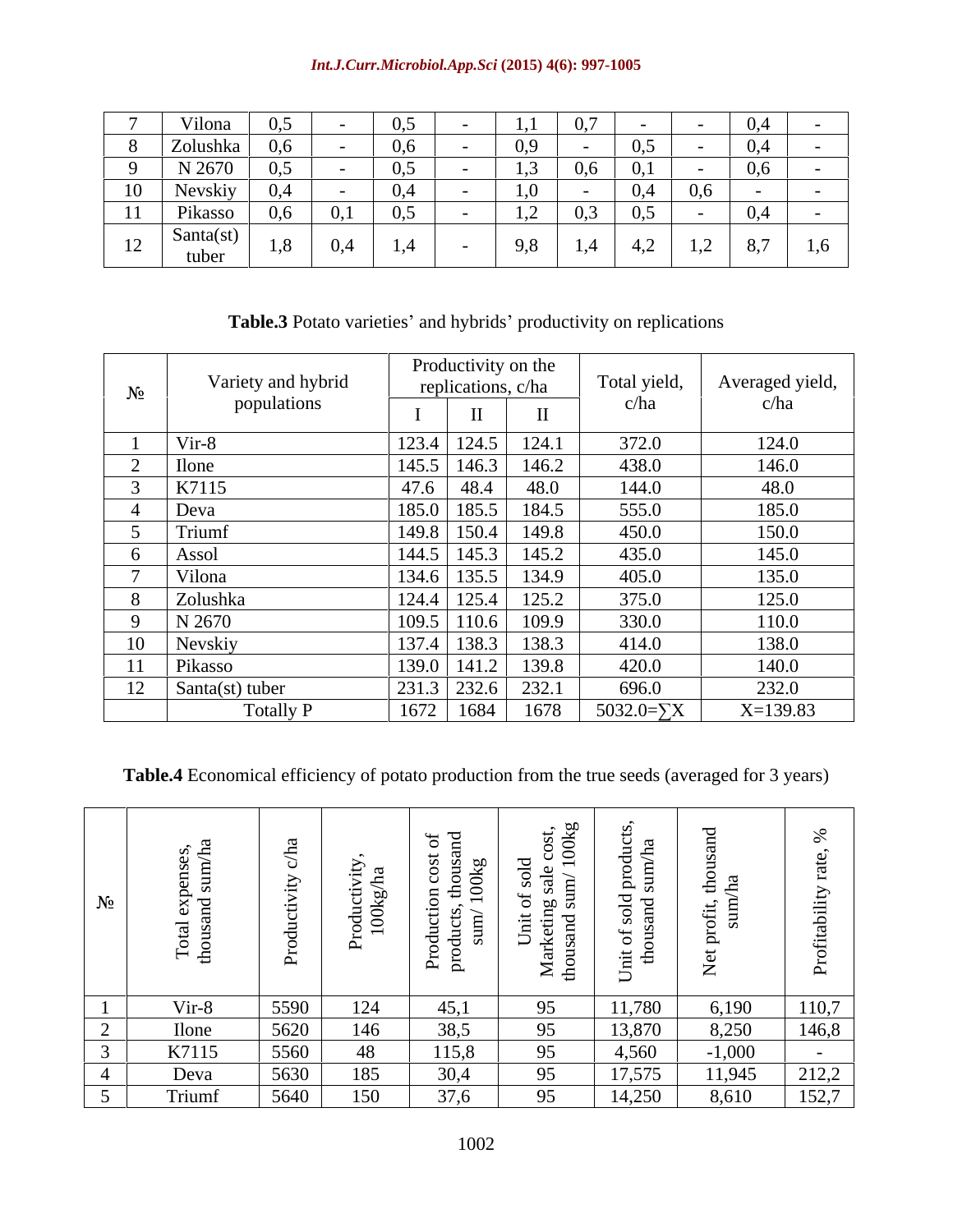#### *Int.J.Curr.Microbiol.App.Sci* **(2015) 4(6): 997-1005**

|          | Vilona             | v, v                     |     | $\mathsf{v},\mathsf{v}$ |                          | $\mathbf{1.4}$              | $\mathsf{U}_\bullet I$        |                         |            | 0,4    |     |
|----------|--------------------|--------------------------|-----|-------------------------|--------------------------|-----------------------------|-------------------------------|-------------------------|------------|--------|-----|
|          | Zolushka           | 0, 0                     |     | U, O                    | $\sim$                   | 0,9                         |                               | $\mathsf{U},\mathsf{U}$ | $\sim$ $-$ | 0,4    | $-$ |
| $\Omega$ | N 2670             | $\mathsf{v},\mathsf{v}$  |     | $\mathsf{v},\mathsf{v}$ |                          | ل, 1                        | 0,6                           | 0,1                     |            | 0,6    |     |
| 10       | Nevskiy            | $\mathbf{v}, \mathbf{u}$ |     | $v, \tau$               | $\overline{\phantom{a}}$ | $\mathbf{1.5}$              |                               |                         | 0,6        | $\sim$ |     |
| 11       | Pikasso            | v, v                     | 0,1 | $\cup, \cup$            |                          | $\sim$<br>$\bot$ , $\angle$ | $\sim$ $\sim$<br>$\cup, \cup$ | $\cup, \cup$            |            | 0,4    |     |
| 12       | Santa(st)<br>tuber | 1,0                      |     | 1, T                    |                          | 9,8                         |                               | $\sim$<br>4,2           | 1,4        | 8,7    | 1,6 |

# Table.3 Potato varieties' and hybrids' productivity on replications

|             |                    | Productivity on the |              |                    |                 |
|-------------|--------------------|---------------------|--------------|--------------------|-----------------|
| $N_2$       | Variety and hybrid | replications, c/ha  |              | Total yield,       | Averaged yield, |
|             | populations        | $\mathbf{r}$        | $\mathbf{H}$ | c/ha               | c/ha            |
|             | Vir-8              | $123.4$ 124.5       | 124.1        | 372.0              | 124.0           |
|             | <b>Ilone</b>       | $145.5$ 146.3       | 146.2        | 438.0              | 146.0           |
|             | K7115              | 47.6<br>48.4        | 48.0         | 144.0              | 48.0            |
|             | Deva               | 185.0 185.5         | 184.5        | 555.0              | 185.0           |
|             | Trium              | 149.8 150.4         | 149.8        | 450.0              | 150.0           |
|             | Assol              | $144.5$ 145.3       | 145.2        | 435.0              | 145.0           |
|             | Vilona             | 134.6 135.5         | 134.9        | 405.0              | 135.0           |
|             | Zolushka           | $124.4$ 125.4       | 125.2        | 375.0              | 125.0           |
|             | N 2670             | $109.5$ 110.6       | 109.9        | 330.0              | 110.0           |
|             | Nevskiy            | $137.4$ 138.3       | 138.3        | 414.0              | 138.0           |
|             | Pikasso            | $139.0$ 141.2       | 139.8        | 420.0              | 140.0           |
| $1^{\circ}$ | Santa(st) tuber    | $231.3$ 232.6       | 232.1        | 696.0              | 232.0           |
|             | <b>Totally P</b>   | 1672<br>1684        | 1678         | 5032.0= $\Sigma$ X | $X=139.83$      |

**Table.4** Economical efficiency of potato production from the true seeds (averaged for 3 years)

|        | ⊢                 | $\frac{8}{9}$ $\frac{1}{9}$ | b.<br><u>ਬ</u> 8<br>$\overline{\phantom{0}}$<br>$\circ$ $\circ$<br>ా బ<br>$\mathbf{H}$ $\mathbf{L}$ | $\leq$<br>ੁ ਕਾ ≌<br>그 금 드<br>י גם י<br>—— —— —— —<br>$\leq$ $\pm$ | ن سے   | ∼                      |       |
|--------|-------------------|-----------------------------|-----------------------------------------------------------------------------------------------------|-------------------------------------------------------------------|--------|------------------------|-------|
| Vir-8  | 5590              | 124                         | 45,1                                                                                                | 05                                                                | 11,780 | 6,190                  | 110,7 |
| Ilone  | 5620              | 146                         | 38.5                                                                                                |                                                                   | 13,870 | 8,250                  | 146,8 |
| K7115  | 5560              | 48                          | 115,8                                                                                               | 95                                                                | 4,560  | $-1,000$               |       |
| Deva   | $\overline{5630}$ | 185                         | JU.4                                                                                                |                                                                   | 17,575 | $\frac{11,945}{8,610}$ | 212,2 |
| Triumf | 5640              | 150                         | 276                                                                                                 | 05                                                                | 14,250 |                        | 152,7 |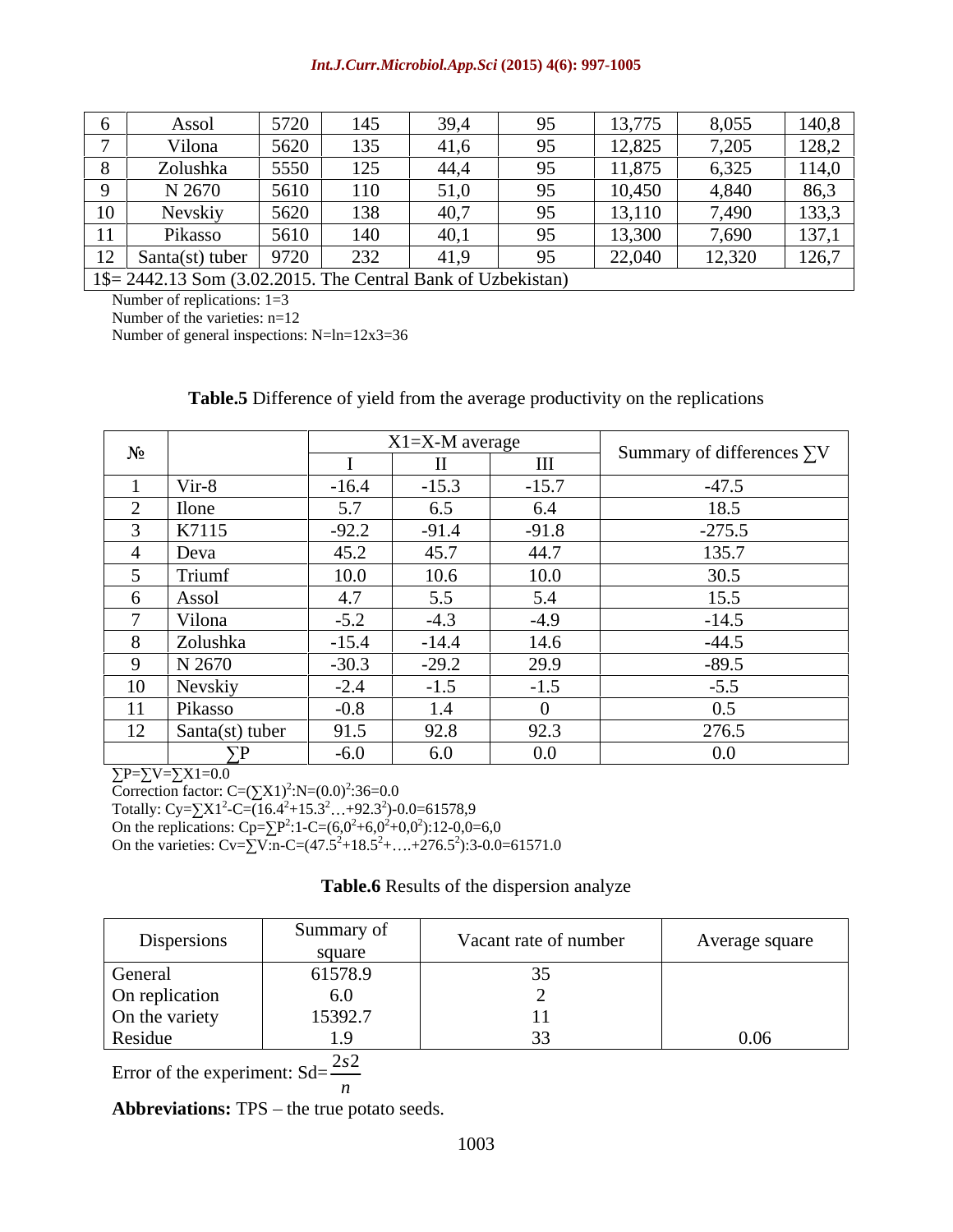#### *Int.J.Curr.Microbiol.App.Sci* **(2015) 4(6): 997-1005**

|                | Asso                                                           | 572C<br>J/LV |               | 39,' |          | 13,775 | 8,055  | 140,8 |
|----------------|----------------------------------------------------------------|--------------|---------------|------|----------|--------|--------|-------|
|                | Vilona                                                         | 5620         | 135           | 41,6 |          | 12,825 | 7,205  | 128,2 |
|                | Zolushka                                                       | 5550         | 125<br>ل کے ا | 44,  |          | 11,875 | 6,325  | 114,0 |
|                | N 2670                                                         | 5610         | 110           | 51,0 |          | 10,450 | 4,840  | 86,3  |
| 10             | Aevskiv                                                        | 5620         | 138           | 40,7 |          | 13,110 | 7,490  | 133,3 |
|                | Pikasso                                                        | 5610         | 40            | 40,1 | $\Omega$ | 13,300 | 7,690  | 137,1 |
| $\overline{1}$ | Santa(st) tuber                                                | 072C<br>7120 | 232<br>ے رے   | 41,9 |          | 22,040 | 12,320 | 126,7 |
|                | $1\$ = 2442.13 Som (3.02.2015. The Central Bank of Uzbekistan) |              |               |      |          |        |        |       |

Number of replications:  $1=3$ 

Number of the varieties: n=12

Number of general inspections: N=ln=12x3=36

#### **Table.5** Difference of yield from the average productivity on the replications

|                                  |                               | X1=X-M average |                            |                                   |
|----------------------------------|-------------------------------|----------------|----------------------------|-----------------------------------|
|                                  |                               | TT             | <b>TTT</b><br>$\mathbf{H}$ | Summary of differences $\Sigma$ V |
| Vir-8                            | $-16.4$                       | $-15.3$        | $-15.7$                    | $-47.5$                           |
| llone                            | 57                            | 6.5            | 6.4                        | 18.5                              |
| K7115                            | $-92.2$                       | $-91.4$        | $-91.8$                    | $-275.5$                          |
| Deva                             | 45.2                          | 45.7           | 44.7                       | 135.7                             |
| Triumf                           | 10.0                          | 10.6           | 10.0                       | 30.5                              |
| Assol                            | $\overline{A}$ $\overline{A}$ | 5.5            | 5.4                        | 15.5                              |
| Vilona                           | $-5.2$                        | $-4.3$         | $-4.9$                     | $-14.5$                           |
| Zolushka                         | $-15.4$                       | $-14.4$        | 14.6                       | $-44.5$                           |
| N 2670                           | $-30.3$                       | $-29.2$        | 29.9                       | $-89.5$                           |
| Nevskiy                          | $-2.4$                        | $-1.5$         | $-1.5$                     | $-5.5$                            |
| Pikasso                          | $-0.8$                        | 1.4            |                            | 0.5                               |
| 12<br>Santa(st) tuber<br>$\perp$ | 91.5                          | 92.8           | 92.3                       | 276.5                             |
| $\nabla$ D                       | $-6.0$                        | 6.0            | $0.0\,$                    | $0.0\,$                           |

 $P=\sum V=\sum X1=0.0$ 

Correction factor:  $C = (\sum X1)^2 : N = (0.0)^2 : 36 = 0.0$ :36=0.0 Totally: Cy= $\sum X1^2$ -C=(16.4<sup>2</sup>+15.3<sup>2</sup>...+92.3<sup>2</sup>)-0.0=61578,9  $^{2}$  0.0–61578.0 )-0.0=61578,9

On the replications:  $Cp = \sum P^2: 1-C = (6,0^2+6,0^2+0,0^2): 12-0,0=6,0$ ):12-0,0=6,0

On the varieties:  $Cv = \sum_{n=0}^{\infty} V \cdot n - C = (47.5^2 + 18.5^2 + ... + 276.5^2) \cdot 3 - 0.0 = 61571.0$  $^{2}$ . 2 0 0–61571 0 ):3-0.0=61571.0

|  | <b>Table.6</b> Results of the dispersion analyze |  |  |
|--|--------------------------------------------------|--|--|
|--|--------------------------------------------------|--|--|

| Dispersions                                                    | Summary of<br>square | Vacant rate of number | Average square |
|----------------------------------------------------------------|----------------------|-----------------------|----------------|
| General                                                        | 61578.9              |                       |                |
| On replication                                                 | 0.0                  |                       |                |
| On the variety                                                 | 15392.7              |                       |                |
| Residue                                                        |                      |                       | 0.06           |
| $\Gamma_{\text{max}}$ of the construction $\Omega$ $1^{-20.2}$ |                      |                       |                |

Error of the experiment:  $Sd = \frac{2s2}{n}$ 

*n* **Abbreviations: TPS** – the true potato seeds.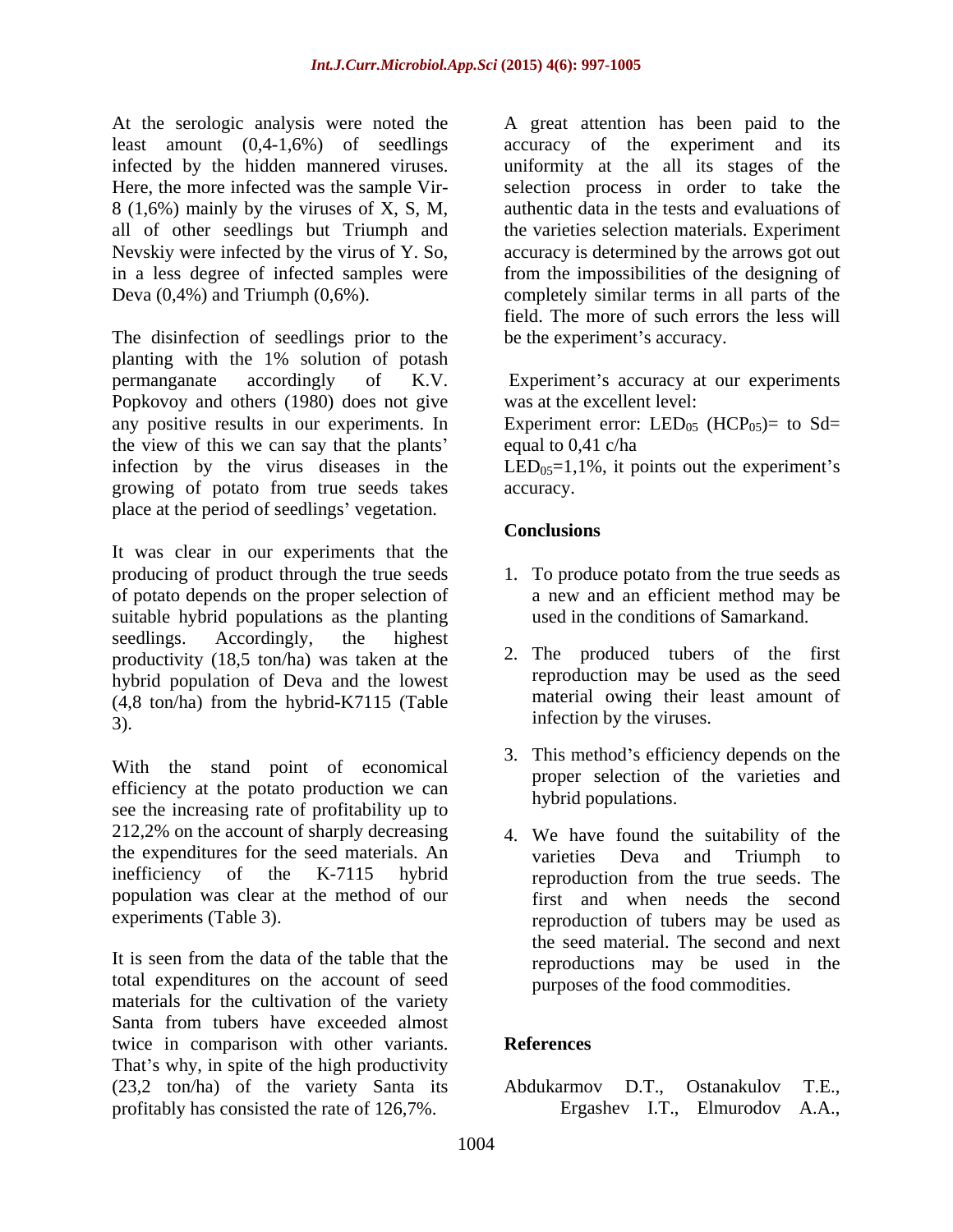At the serologic analysis were noted the least amount (0,4-1,6%) of seedlings 8 (1,6%) mainly by the viruses of X, S, M, all of other seedlings but Triumph and

The disinfection of seedlings prior to the be the experiment's accuracy. planting with the 1% solution of potash permanganate accordingly of K.V. Popkovoy and others (1980) does not give any positive results in our experiments. In Experiment error:  $LED_{05}$  (HCP<sub>05</sub>)= to Sd= the view of this we can say that the plants infection by the virus diseases in the  $LED_{0.5} = 1,1\%$ , it points out the experiment's growing of potato from true seeds takes place at the period of seedlings' vegetation.

It was clear in our experiments that the producing of product through the true seeds 1. To produce potato from the true seeds as of potato depends on the proper selection of suitable hybrid populations as the planting seedlings. Accordingly, the highest productivity (18,5 ton/ha) was taken at the hybrid population of Deva and the lowest (4,8 ton/ha) from the hybrid-K7115 (Table  $\overline{3}$ ). The infection by the viruses.

With the stand point of economical efficiency at the potato production we can see the increasing rate of profitability up to 212,2% on the account of sharply decreasing 4. We have found the suitability of the the expenditures for the seed materials. An varieties Deva and Triumph to inefficiency of the K-7115 hybrid reproduction from the true seeds. The population was clear at the method of our

It is seen from the data of the table that the total expenditures on the account of seed materials for the cultivation of the variety Santa from tubers have exceeded almost twice in comparison with other variants. References That's why, in spite of the high productivity (23,2 ton/ha) of the variety Santa its Abdukarmov D.T., Ostanakulov T.E., profitably has consisted the rate of 126,7%.

infected by the hidden mannered viruses. uniformity at the all its stages of the Here, the more infected was the sample Vir- selection process in order to take the Nevskiy were infected by the virus of Y. So, accuracy is determined by the arrows got out in a less degree of infected samples were from the impossibilities of the designing of Deva (0,4%) and Triumph (0,6%). completely similar terms in all parts of the A great attention has been paid to the accuracy of the experiment and its authentic data in the tests and evaluations of the varieties selection materials. Experiment field. The more of such errors the less will

be the experiment's accuracy.<br>Experiment's accuracy at our experiments was at the excellent level:

equal to 0,41 c/ha

accuracy.

## **Conclusions**

- a new and an efficient method may be used in the conditions of Samarkand.
- 2. The produced tubers of the first reproduction may be used as the seed material owing their least amount of
- 3. This method's efficiency depends on the proper selection of the varieties and hybrid populations.
- experiments (Table 3). reproduction of tubers may be used as varieties Deva and Triumph to reproduction from the true seeds. The first and when needs the second the seed material. The second and next reproductions may be used in the purposes of the food commodities.

# **References**

Abdukarmov D.T., Ostanakulov T.E., Ergashev I.T., Elmurodov A.A.,